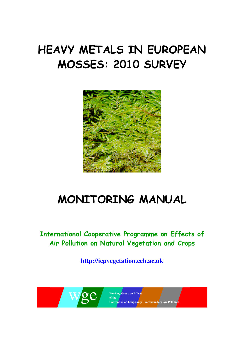# HEAVY METALS IN EUROPEAN MOSSES: 2010 SURVEY



# MONITORING MANUAL

International Cooperative Programme on Effects of Air Pollution on Natural Vegetation and Crops

**http://icpvegetation.ceh.ac.uk** 



**Working Group on Effects Convention on Long-range Transboundary Air Pollution**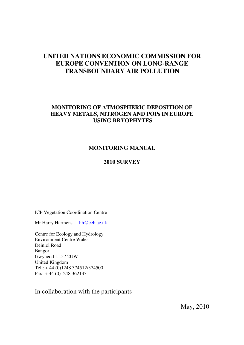# **UNITED NATIONS ECONOMIC COMMISSION FOR EUROPE CONVENTION ON LONG-RANGE TRANSBOUNDARY AIR POLLUTION**

# **MONITORING OF ATMOSPHERIC DEPOSITION OF HEAVY METALS, NITROGEN AND POPs IN EUROPE USING BRYOPHYTES**

# **MONITORING MANUAL**

# **2010 SURVEY**

ICP Vegetation Coordination Centre

Mr Harry Harmens hh@ceh.ac.uk

Centre for Ecology and Hydrology Environment Centre Wales Deiniol Road Bangor Gwynedd LL57 2UW United Kingdom Tel.: + 44 (0)1248 374512/374500 Fax: + 44 (0)1248 362133

In collaboration with the participants

May, 2010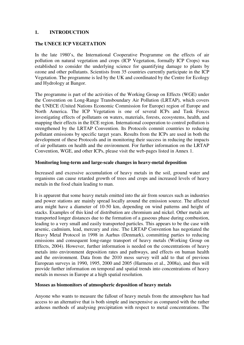#### **1. INTRODUCTION**

#### **The UNECE ICP VEGETATION**

In the late 1980's, the International Cooperative Programme on the effects of air pollution on natural vegetation and crops (ICP Vegetation, formally ICP Crops) was established to consider the underlying science for quantifying damage to plants by ozone and other pollutants. Scientists from 35 countries currently participate in the ICP Vegetation. The programme is led by the UK and coordinated by the Centre for Ecology and Hydrology at Bangor.

The programme is part of the activities of the Working Group on Effects (WGE) under the Convention on Long-Range Transboundary Air Pollution (LRTAP), which covers the UNECE (United Nations Economic Commission for Europe) region of Europe and North America. The ICP Vegetation is one of several ICPs and Task Forces investigating effects of pollutants on waters, materials, forests, ecosystems, health, and mapping their effects in the ECE region. International cooperation to control pollution is strengthened by the LRTAP Convention. Its Protocols commit countries to reducing pollutant emissions by specific target years. Results from the ICPs are used in both the development of these Protocols and in monitoring their success in reducing the impacts of air pollutants on health and the environment. For further information on the LRTAP Convention, WGE, and other ICPs, please visit the web-pages listed in Annex 1.

#### **Monitoring long-term and large-scale changes in heavy-metal deposition**

Increased and excessive accumulation of heavy metals in the soil, ground water and organisms can cause retarded growth of trees and crops and increased levels of heavy metals in the food chain leading to man.

It is apparent that some heavy metals emitted into the air from sources such as industries and power stations are mainly spread locally around the emission source. The affected area might have a diameter of 10-50 km, depending on wind patterns and height of stacks. Examples of this kind of distribution are chromium and nickel. Other metals are transported longer distances due to the formation of a gaseous phase during combustion, leading to a very small and easily transported particles. This appears to be the case with arsenic, cadmium, lead, mercury and zinc. The LRTAP Convention has negotiated the Heavy Metal Protocol in 1998 in Aarhus (Denmark), committing parties to reducing emissions and consequent long-range transport of heavy metals (Working Group on Effects, 2004). However, further information is needed on the concentrations of heavy metals into environment deposition rates and pathways, and effects on human health and the environment. Data from the 2010 moss survey will add to that of previous European surveys in 1990, 1995, 2000 and 2005 (Harmens et al., 2008a), and thus will provide further information on temporal and spatial trends into concentrations of heavy metals in mosses in Europe at a high spatial resolution.

#### **Mosses as biomonitors of atmospheric deposition of heavy metals**

Anyone who wants to measure the fallout of heavy metals from the atmosphere has had access to an alternative that is both simple and inexpensive as compared with the rather arduous methods of analysing precipitation with respect to metal concentrations. The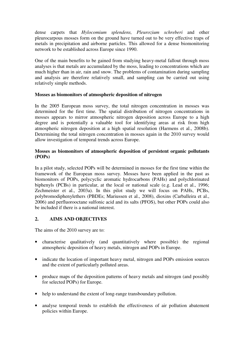dense carpets that *Hylocomium splendens, Pleurozium schreberi* and other pleurocarpous mosses form on the ground have turned out to be very effective traps of metals in precipitation and airborne particles. This allowed for a dense biomonitoring network to be established across Europe since 1990.

One of the main benefits to be gained from studying heavy-metal fallout through moss analyses is that metals are accumulated by the moss, leading to concentrations which are much higher than in air, rain and snow. The problems of contamination during sampling and analysis are therefore relatively small, and sampling can be carried out using relatively simple methods.

## **Mosses as biomonitors of atmospheric deposition of nitrogen**

In the 2005 European moss survey, the total nitrogen concentration in mosses was determined for the first time. The spatial distribution of nitrogen concentrations in mosses appears to mirror atmospheric nitrogen deposition across Europe to a high degree and is potentially a valuable tool for identifying areas at risk from high atmospheric nitrogen deposition at a high spatial resolution (Harmens et al., 2008b). Determining the total nitrogen concentration in mosses again in the 2010 survey would allow investigation of temporal trends across Europe.

## **Mosses as biomonitors of atmospheric deposition of persistent organic pollutants (POPs)**

In a pilot study, selected POPs will be determined in mosses for the first time within the framework of the European moss survey. Mosses have been applied in the past as biomonitors of POPs, polycyclic aromatic hydrocarbons (PAHs) and polychlorinated biphenyls (PCBs) in particular, at the local or national scale (e.g. Lead et al., 1996; Zechmeister et al., 2003a). In this pilot study we will focus on PAHs, PCBs, polybromodiphenylethers (PBDEs; Mariussen et al., 2008), dioxins (Carballeira et al., 2006) and perfluorooctane sulfonic acid and its salts (PFOS), but other POPs could also be included if there is a national interest.

## **2. AIMS AND OBJECTIVES**

The aims of the 2010 survey are to:

- characterise qualitatively (and quantitatively where possible) the regional atmospheric deposition of heavy metals, nitrogen and POPs in Europe.
- indicate the location of important heavy metal, nitrogen and POPs emission sources and the extent of particularly polluted areas.
- produce maps of the deposition patterns of heavy metals and nitrogen (and possibly for selected POPs) for Europe.
- help to understand the extent of long-range transboundary pollution.
- analyse temporal trends to establish the effectiveness of air pollution abatement policies within Europe.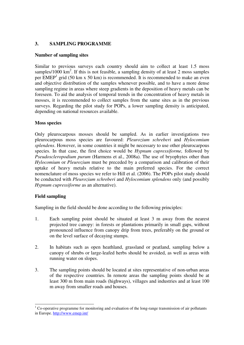#### **3. SAMPLING PROGRAMME**

#### **Number of sampling sites**

Similar to previous surveys each country should aim to collect at least 1.5 moss samples/1000  $\text{km}^2$ . If this is not feasible, a sampling density of at least 2 moss samples per  $EMEP<sup>1</sup>$  grid (50 km x 50 km) is recommended. It is recommended to make an even and objective distribution of the samples whenever possible, and to have a more dense sampling regime in areas where steep gradients in the deposition of heavy metals can be foreseen. To aid the analysis of temporal trends in the concentration of heavy metals in mosses, it is recommended to collect samples from the same sites as in the previous surveys. Regarding the pilot study for POPs, a lower sampling density is anticipated, depending on national resources available.

#### **Moss species**

Only pleurocarpous mosses should be sampled. As in earlier investigations two pleurocarpous moss species are favoured: *Pleurozium schreberi* and *Hylocomium splendens*. However, in some countries it might be necessary to use other pleurocarpous species. In that case, the first choice would be *Hypnum cupressiforme,* followed by *Pseudoscleropodium purum* (Harmens et al., 2008a). The use of bryophytes other than *Hylocomium* or *Pleurozium* must be preceded by a comparison and calibration of their uptake of heavy metals relative to the main preferred species. For the correct nomenclature of moss species we refer to Hill et al. (2006). The POPs pilot study should be conducted with *Pleurozium schreberi* and *Hylocomium splendens* only (and possibly *Hypnum cupressiforme* as an alternative).

## **Field sampling**

Sampling in the field should be done according to the following principles:

- 1. Each sampling point should be situated at least 3 m away from the nearest projected tree canopy: in forests or plantations primarily in small gaps, without pronounced influence from canopy drip from trees, preferably on the ground or on the level surface of decaying stumps.
- 2. In habitats such as open heathland, grassland or peatland, sampling below a canopy of shrubs or large-leafed herbs should be avoided, as well as areas with running water on slopes.
- 3. The sampling points should be located at sites representative of non-urban areas of the respective countries. In remote areas the sampling points should be at least 300 m from main roads (highways), villages and industries and at least 100 m away from smaller roads and houses.

l  $1$  Co-operative programme for monitoring and evaluation of the long-range transmission of air pollutants in Europe. http://www.emep.int/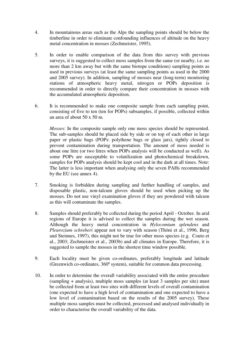- 4. In mountainous areas such as the Alps the sampling points should be below the timberline in order to eliminate confounding influences of altitude on the heavy metal concentration in mosses (Zechmeister, 1995).
- 5. In order to enable comparison of the data from this survey with previous surveys, it is suggested to collect moss samples from the same (or nearby, i.e. no more than 2 km away but with the same biotope conditions) sampling points as used in previous surveys (at least the same sampling points as used in the 2000 and 2005 survey). In addition, sampling of mosses near (long-term) monitoring stations of atmospheric heavy metal, nitrogen or POPs deposition is recommended in order to directly compare their concentration in mosses with the accumulated atmospheric deposition.
- 6. It is recommended to make one composite sample from each sampling point, consisting of five to ten (ten for POPs) subsamples, if possible, collected within an area of about 50 x 50 m.

*Mosses*: In the composite sample only one moss species should be represented. The sub-samples should be placed side by side or on top of each other in large paper or plastic bags (POPs: polythene bags or glass jars), tightly closed to prevent contamination during transportation. The amount of moss needed is about one litre (or two litres when POPs analysis will be conducted as well). As some POPs are susceptable to volatilization and photochemical breakdown, samples for POPs analysis should be kept cool and in the dark at all times. Note: The latter is less important when analysing only the seven PAHs recommended by the EU (see annex 4).

- 7. Smoking is forbidden during sampling and further handling of samples, and disposable plastic, non-talcum gloves should be used when picking up the mosses. Do not use vinyl examination gloves if they are powdered with talcum as this will contaminate the samples.
- 8. Samples should preferably be collected during the period April October. In arid regions of Europe it is advised to collect the samples during the wet season. Although the heavy metal concentration in *Hylocomium splendens* and *Pleurozium schreberi* appear not to vary with season (Thöni et al., 1996, Berg and Steinnes, 1997), this might not be true for other moss species (e.g. Couto et al., 2003; Zechmeister et al., 2003b) and all climates in Europe. Therefore, it is suggested to sample the mosses in the shortest time window possible.
- 9. Each locality must be given co-ordinates, preferably longitude and latitude (Greenwich co-ordinates, 360º system), suitable for common data processing.
- 10. In order to determine the overall variability associated with the entire procedure (sampling + analysis), multiple moss samples (at least 3 samples per site) must be collected from at least two sites with different levels of overall contamination (one expected to have a high level of contamination and one expected to have a low level of contamination based on the results of the 2005 survey). These multiple moss samples must be collected, processed and analysed individually in order to characterise the overall variability of the data.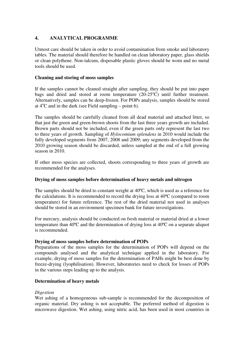## **4. ANALYTICAL PROGRAMME**

Utmost care should be taken in order to avoid contamination from smoke and laboratory tables. The material should therefore be handled on clean laboratory paper, glass shields or clean polythene. Non-talcum, disposable plastic gloves should be worn and no metal tools should be used.

#### **Cleaning and storing of moss samples**

If the samples cannot be cleaned straight after sampling, they should be put into paper bags and dried and stored at room temperature  $(20-25^{\circ}C)$  until further treatment. Alternatively, samples can be deep-frozen. For POPs analysis, samples should be stored at  $4^{\circ}$ C and in the dark (see Field sampling – point 6).

The samples should be carefully cleaned from all dead material and attached litter, so that just the green and green-brown shoots from the last three years growth are included. Brown parts should not be included, even if the green parts only represent the last two to three years of growth. Sampling of *Hylocomium splendens* in 2010 would include the fully developed segments from 2007, 2008 and 2009; any segments developed from the 2010 growing season should be discarded, unless sampled at the end of a full growing season in 2010.

If other moss species are collected, shoots corresponding to three years of growth are recommended for the analyses.

## **Drying of moss samples before determination of heavy metals and nitrogen**

The samples should be dried to constant weight at 40ºC, which is used as a reference for the calculations. It is recommended to record the drying loss at 40ºC (compared to room temperature) for future reference. The rest of the dried material not used in analyses should be stored in an environment specimen bank for future investigations.

For mercury, analysis should be conducted on fresh material or material dried at a lower temperature than 40ºC and the determination of drying loss at 40ºC on a separate aliquot is recommended.

## **Drying of moss samples before determination of POPs**

Preparations of the moss samples for the determination of POPs will depend on the compounds analysed and the analytical technique applied in the laboratory. For example, drying of moss samples for the determination of PAHs might be best done by freeze-drying (lyophilisation). However, laboratories need to check for losses of POPs in the various steps leading up to the analysis.

## **Determination of heavy metals**

## *Digestion*

Wet ashing of a homogeneous sub-sample is recommended for the decomposition of organic material. Dry ashing is not acceptable. The preferred method of digestion is microwave digestion. Wet ashing, using nitric acid, has been used in most countries in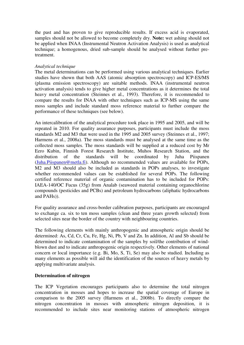the past and has proven to give reproducible results. If excess acid is evaporated, samples should not be allowed to become completely dry. **Note:** wet ashing should not be applied when INAA (Instrumental Neutron Activation Analysis) is used as analytical technique; a homogenous, dried sub-sample should be analysed without further pretreatment.

#### *Analytical technique*

The metal determinations can be performed using various analytical techniques. Earlier studies have shown that both AAS (atomic absorption spectroscopy) and ICP-ES/MS (plasma emission spectroscopy) are suitable methods. INAA (instrumental neutron activation analysis) tends to give higher metal concentrations as it determines the total heavy metal concentration (Steinnes et al., 1993). Therefore, it is recommended to compare the results for INAA with other techniques such as ICP-MS using the same moss samples and include standard moss reference material to further compare the performance of these techniques (see below).

An intercalibration of the analytical procedure took place in 1995 and 2005, and will be repeated in 2010. For quality assurance purposes, participants must include the moss standards M2 and M3 that were used in the 1995 and 2005 survey (Steinnes et al., 1997; Harmens et al., 2008a). The moss standards must be analysed at the same time as the collected moss samples. The moss standards will be supplied at a reduced cost by Mr Eero Kubin, Finnish Forest Research Institute, Muhos Research Station, and the distribution of the standards will be coordinated by Juha Piispanen (Juha.Piispanen@metla.fi). Although no recommended values are available for POPs, M2 and M3 should also be included as standards in POPs analyses, to investigate whether recommended values can be established for several POPs. The following certified reference material of organic contamination has to be included for POPs: IAEA-140/OC Fucus (35g) from Analab (seaweed material containing organochlorine compounds (pesticides and PCBs) and petroleum hydrocarbons (aliphatic hydrocarbons and PAHs)).

For quality assurance and cross-border calibration purposes, participants are encouraged to exchange ca. six to ten moss samples (clean and three years growth selected) from selected sites near the border of the country with neighbouring countries.

The following elements with mainly anthropogenic and atmospheric origin should be determined: As, Cd, Cr, Cu, Fe, Hg, Ni, Pb, V and Zn. In addition, Al and Sb should be determined to indicate contamination of the samples by soil/the contribution of windblown dust and to indicate anthropogenic origin respectively. Other elements of national concern or local importance (e.g. Bi, Mo, S, Ti, Se) may also be studied. Including as many elements as possible will aid the identification of the sources of heavy metals by applying multivariate analysis.

## **Determination of nitrogen**

The ICP Vegetation encourages participants also to determine the total nitrogen concentration in mosses and hopes to increase the spatial coverage of Europe in comparison to the 2005 survey (Harmens et al., 2008b). To directly compare the nitrogen concentration in mosses with atmospheric nitrogen deposition, it is recommended to include sites near monitoring stations of atmospheric nitrogen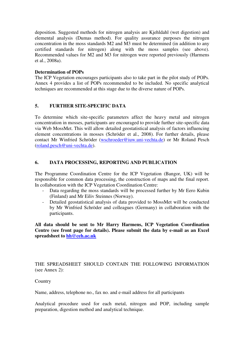deposition. Suggested methods for nitrogen analysis are Kjehldahl (wet digestion) and elemental analysis (Dumas method). For quality assurance purposes the nitrogen concentration in the moss standards M2 and M3 must be determined (in addition to any certified standards for nitrogen) along with the moss samples (see above). Recommended values for M2 and M3 for nitrogen were reported previously (Harmens et al., 2008a).

#### **Determination of POPs**

The ICP Vegetation encourages participants also to take part in the pilot study of POPs. Annex 4 provides a list of POPs recommended to be included. No specific analytical techniques are recommended at this stage due to the diverse nature of POPs.

## **5. FURTHER SITE-SPECIFIC DATA**

To determine which site-specific parameters affect the heavy metal and nitrogen concentration in mosses, participants are encouraged to provide further site-specific data via Web MossMet. This will allow detailed geostatistical analysis of factors influencing element concentrations in mosses (Schröder et al., 2008). For further details, please contact Mr Winfried Schröder (wschroeder@iuw.uni-vechta.de) or Mr Roland Pesch (roland.pesch@uni-vechta.de).

#### **6. DATA PROCESSING, REPORTING AND PUBLICATION**

The Programme Coordination Centre for the ICP Vegetation (Bangor, UK) will be responsible for common data processing, the construction of maps and the final report. In collaboration with the ICP Vegetation Coordination Centre:

- Data regarding the moss standards will be processed further by Mr Eero Kubin (Finland) and Mr Eiliv Steinnes (Norway).
- Detailed geostatistical analysis of data provided to MossMet will be conducted by Mr Winfried Schröder and colleagues (Germany) in collaboration with the participants.

**All data should be sent to Mr Harry Harmens, ICP Vegetation Coordination Centre (see front page for details). Please submit the data by e-mail as an Excel spreadsheet to hh@ceh.ac.uk**

THE SPREADSHEET SHOULD CONTAIN THE FOLLOWING INFORMATION (see Annex 2):

#### **Country**

Name, address, telephone no., fax no. and e-mail address for all participants

Analytical procedure used for each metal, nitrogen and POP, including sample preparation, digestion method and analytical technique.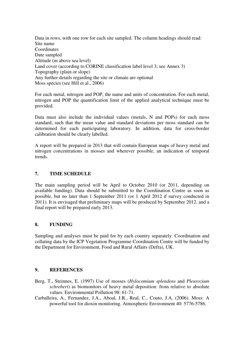Data in rows, with one row for each site sampled. The column headings should read: Site name **Coordinates** Date sampled Altitude (m above sea level) Land cover (according to CORINE classification label level 3; see Annex 3) Topography (plain or slope) Any further details regarding the site or climate are optional Moss species (see Hill et al., 2006)

For each metal, nitrogen and POP, the name and units of concentration. For each metal, nitrogen and POP the quantification limit of the applied analytical technique must be provided.

Data must also include the individual values (metals, N and POPs) for each moss standard, such that the mean value and standard deviations per moss standard can be determined for each participating laboratory. In addition, data for cross-border calibration should be clearly labelled.

A report will be prepared in 2013 that will contain European maps of heavy metal and nitrogen concentrations in mosses and wherever possible, an indication of temporal trends.

## **7. TIME SCHEDULE**

The main sampling period will be April to October 2010 (or 2011, depending on available funding). Data should be submitted to the Coordination Centre as soon as possible, but no later than 1 September 2011 (or 1 April 2012 if survey conducted in 2011). It is envisaged that preliminary maps will be produced by September 2012, and a final report will be prepared early 2013.

#### **8. FUNDING**

Sampling and analyses must be paid for by each country separately. Coordination and collating data by the ICP Vegetation Programme Coordination Centre will be funded by the Department for Environment, Food and Rural Affairs (Defra), UK.

#### **9. REFERENCES**

- Berg, T., Steinnes, E. (1997) Use of mosses (*Hylocomium splendens* and *Pleurozium schreberi*) as biomonitors of heavy metal deposition: from relative to absolute values. Environmental Pollution 98: 61-71.
- Carballeira, A., Fernandez, J.A., Aboal, J.R., Real, C., Couto, J.A. (2006). Moss: A powerful tool for dioxin monitoring. Atmospheric Environment 40: 5776-5786.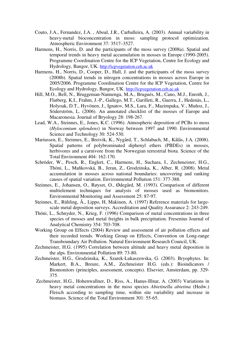- Couto, J.A., Fernandez, J.A. , Aboal, J.R., Carballeira, A. (2003). Annual variability in heavy-metal bioconcentration in moss: sampling protocol optimization. Atmospheric Environment 37: 3517–3527.
- Harmens, H., Norris, D. and the participants of the moss survey (2008a). Spatial and temporal trends in heavy metal accumulation in mosses in Europe (1990-2005). Programme Coordination Centre for the ICP Vegetation, Centre for Ecology and Hydrology, Bangor, UK. http://icpvegetation.ceh.ac.uk
- Harmens, H., Norris, D., Cooper, D., Hall, J. and the participants of the moss survey (2008b). Spatial trends in nitrogen concentrations in mosses across Europe in 2005/2006. Programme Coordination Centre for the ICP Vegetation, Centre for Ecology and Hydrology, Bangor, UK. http://icpvegetation.ceh.ac.uk
- Hill, M.O., Bell, N., Bruggeman-Nannenga, M.A., Brugués, M., Cano, M.J., Enroth, J., Flatberg, K.I., Frahm, J.-P., Gallego, M.T., Garilleti, R., Guerra, J., Hedenäs, L., Holyoak, D.T., Hyvönen, J., Ignatov, M.S., Lara, F., Mazimpaka, V., Muñoz, J., Söderström, L. (2006). An annotated checklist of the mosses of Europe and Macaronesia. Journal of Bryology 28: 198-267.
- Lead, W.A., Steinnes, E., Jones, K.C. (1996). Atmospheric deposition of PCBs to moss (*Hylocomium splendens*) in Norway between 1997 and 1990. Environmental Science and Technology 30: 524-530.
- Mariussen, E., Steinnes, E., Breivik, K., Nygård, T., Schlabach, M., Kålås, J.A. (2008). Spatial patterns of polybrominated diphenyl ethers (PBDEs) in mosses, herbivores and a carnivore from the Norwegian terrestrial biota. Science of the Total Environment 404: 162-170.
- Schröder, W., Pesch, R., Englert, C., Harmens, H., Suchara, I., Zechmeister, H.G., Thöni, L., Maňkovská, B., Jeran, Z., Grodzinska, K., Alber, R. (2008). Metal accumulation in mosses across national boundaries: uncovering and ranking causes of spatial variation. Environmental Pollution 151: 377-388.
- Steinnes, E., Johansen, O., Røyset, O., Ødegård, M. (1993). Comparison of different multielement techniques for analysis of mosses used as biomonitors. Environmental Monitoring and Assessment 25: 87-97.
- Steinnes, E., Rühling, Å., Lippo, H, Makinen, A. (1997) Reference materials for largescale metal deposition surveys. Accreditation and Quality Assurance 2: 243-249.
- Thöni, L., Schnyder, N., Krieg, F. (1996) Comparison of metal concentrations in three species of mosses and metal freights in bulk precipitation. Fresenius Journal of Analytical Chemistry 354: 703-708.
- Working Group on Effects (2004) Review and assessment of air pollution effects and their recorded trends. Working Group on Effects, Convention on Long-range Transboundary Air Pollution. Natural Environment Research Council, UK.
- Zechmeister, H.G. (1995) Correlation between altitude and heavy metal deposition in the alps. Environmental Pollution 89: 73-80.
- Zechmeister, H.G., Grodzinska, K., Szarek-Lukaszewska, G. (2003). Bryophytes. In: Markert, B.A., Breure, A.M., Zechmeister H.G. (eds.): Bioindicators / Biomonitors (principles, assessment, concepts). Elsevier, Amsterdam, pp. 329- 375.
- Zechmeister, H.G., Hohenwallner, D., Riss, A., Hanus-Illnar, A. (2003) Variations in heavy metal concentrations in the moss species *Abietinella abietina* (Hedw.) Fleisch according to sampling time, within site variability and increase in biomass. Science of the Total Environment 301: 55-65.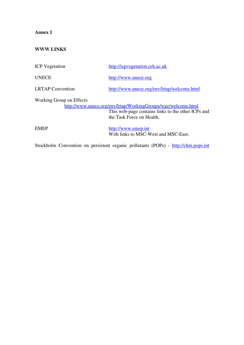# **WWW LINKS**

| <b>ICP</b> Vegetation    | http://icpvegetation.ceh.ac.uk                                                                                                                   |
|--------------------------|--------------------------------------------------------------------------------------------------------------------------------------------------|
| <b>UNECE</b>             | http://www.unece.org                                                                                                                             |
| <b>LRTAP</b> Convention  | http://www.unece.org/env/lrtap/welcome.html                                                                                                      |
| Working Group on Effects | http://www.unece.org/env/lrtap/WorkingGroups/wge/welcome.html<br>This web-page contains links to the other ICPs and<br>the Task Force on Health. |
| <b>EMEP</b>              | http://www.emep.int<br>With links to MSC-West and MSC-East.                                                                                      |

Stockholm Convention on persistent organic pollutants (POPs) - http://chm.pops.int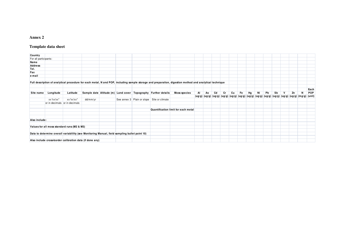#### **Template data sheet**

| Country               |           |                                             |                                                                                                |  |                                                                |                                                                                                                                                         |    |    |    |    |    |    |    |    |    |    |   |    |                                                                                                                              |            |
|-----------------------|-----------|---------------------------------------------|------------------------------------------------------------------------------------------------|--|----------------------------------------------------------------|---------------------------------------------------------------------------------------------------------------------------------------------------------|----|----|----|----|----|----|----|----|----|----|---|----|------------------------------------------------------------------------------------------------------------------------------|------------|
| For all participants: |           |                                             |                                                                                                |  |                                                                |                                                                                                                                                         |    |    |    |    |    |    |    |    |    |    |   |    |                                                                                                                              |            |
| Name                  |           |                                             |                                                                                                |  |                                                                |                                                                                                                                                         |    |    |    |    |    |    |    |    |    |    |   |    |                                                                                                                              |            |
| <b>Address</b>        |           |                                             |                                                                                                |  |                                                                |                                                                                                                                                         |    |    |    |    |    |    |    |    |    |    |   |    |                                                                                                                              |            |
| Tel.                  |           |                                             |                                                                                                |  |                                                                |                                                                                                                                                         |    |    |    |    |    |    |    |    |    |    |   |    |                                                                                                                              |            |
| Fax                   |           |                                             |                                                                                                |  |                                                                |                                                                                                                                                         |    |    |    |    |    |    |    |    |    |    |   |    |                                                                                                                              |            |
| e-mail                |           |                                             |                                                                                                |  |                                                                |                                                                                                                                                         |    |    |    |    |    |    |    |    |    |    |   |    |                                                                                                                              |            |
|                       |           |                                             |                                                                                                |  |                                                                | Full description of analytical procedure for each metal, N and POP, including sample storage and preparation, digestion method and analytical technique |    |    |    |    |    |    |    |    |    |    |   |    |                                                                                                                              |            |
|                       |           |                                             |                                                                                                |  |                                                                |                                                                                                                                                         |    |    |    |    |    |    |    |    |    |    |   |    |                                                                                                                              | Each       |
| Site name             | Longitude | Latitude                                    |                                                                                                |  | Sample date Altitude (m) Land cover Topography Further details | Moss species                                                                                                                                            | Al | As | Cd | Cr | Cu | Fe | Hg | Ni | Pb | Sb | V | Zn | N                                                                                                                            | <b>POP</b> |
|                       |           |                                             |                                                                                                |  |                                                                |                                                                                                                                                         |    |    |    |    |    |    |    |    |    |    |   |    | $(ug/g)$ $(ug/g)$ $(ug/g)$ $(ug/g)$ $(ug/g)$ $(ug/g)$ $(ug/g)$ $(ug/g)$ $(ug/g)$ $(ug/g)$ $(ug/g)$ $(ug/g)$ $(mg/g)$ $(mit)$ |            |
|                       | xx xx xx" | xx°xx'xx"                                   | dd/mm/yr                                                                                       |  | See annex 3 Plain or slope Site or climate                     |                                                                                                                                                         |    |    |    |    |    |    |    |    |    |    |   |    |                                                                                                                              |            |
|                       |           | or in decimals or in decimals               |                                                                                                |  |                                                                |                                                                                                                                                         |    |    |    |    |    |    |    |    |    |    |   |    |                                                                                                                              |            |
|                       |           |                                             |                                                                                                |  |                                                                | Quantification limit for each metal                                                                                                                     |    |    |    |    |    |    |    |    |    |    |   |    |                                                                                                                              |            |
|                       |           |                                             |                                                                                                |  |                                                                |                                                                                                                                                         |    |    |    |    |    |    |    |    |    |    |   |    |                                                                                                                              |            |
| Also include:         |           |                                             |                                                                                                |  |                                                                |                                                                                                                                                         |    |    |    |    |    |    |    |    |    |    |   |    |                                                                                                                              |            |
|                       |           |                                             |                                                                                                |  |                                                                |                                                                                                                                                         |    |    |    |    |    |    |    |    |    |    |   |    |                                                                                                                              |            |
|                       |           | Values for all moss standard runs (M2 & M3) |                                                                                                |  |                                                                |                                                                                                                                                         |    |    |    |    |    |    |    |    |    |    |   |    |                                                                                                                              |            |
|                       |           |                                             | Data to determine overall variablility (see Monitoring Manual, field sampling bullet point 10) |  |                                                                |                                                                                                                                                         |    |    |    |    |    |    |    |    |    |    |   |    |                                                                                                                              |            |
|                       |           |                                             |                                                                                                |  |                                                                |                                                                                                                                                         |    |    |    |    |    |    |    |    |    |    |   |    |                                                                                                                              |            |
|                       |           |                                             | Also include cross-border calibration data (if done any)                                       |  |                                                                |                                                                                                                                                         |    |    |    |    |    |    |    |    |    |    |   |    |                                                                                                                              |            |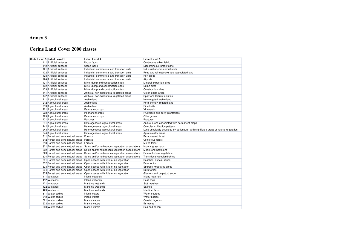## **Corine Land Cover 2000 classes**

| Code Level 3 Label Level 1 |                                   | Label Level 2                                                                     | Label Level 3                                                                          |
|----------------------------|-----------------------------------|-----------------------------------------------------------------------------------|----------------------------------------------------------------------------------------|
|                            | 111 Artificial surfaces           | Urban fabric                                                                      | Continuous urban fabric                                                                |
|                            | 112 Artificial surfaces           | Urban fabric                                                                      | Discontinuous urban fabric                                                             |
|                            | 121 Artificial surfaces           | Industrial, commercial and transport units                                        | Industrial or commercial units                                                         |
|                            | 122 Artificial surfaces           | Industrial, commercial and transport units                                        | Road and rail networks and associated land                                             |
|                            | 123 Artificial surfaces           | Industrial, commercial and transport units                                        | Port areas                                                                             |
|                            | 124 Artificial surfaces           | Industrial, commercial and transport units                                        | Airports                                                                               |
|                            | 131 Artificial surfaces           | Mine, dump and construction sites                                                 | Mineral extraction sites                                                               |
|                            | 132 Artificial surfaces           | Mine, dump and construction sites                                                 | Dump sites                                                                             |
|                            | 133 Artificial surfaces           | Mine, dump and construction sites                                                 | <b>Construction sites</b>                                                              |
|                            | 141 Artificial surfaces           | Artificial, non-agricultural vegetated areas                                      | Green urban areas                                                                      |
|                            | 142 Artificial surfaces           | Artificial, non-agricultural vegetated areas                                      | Sport and leisure facilities                                                           |
|                            | 211 Agricultural areas            | Arable land                                                                       | Non-irrigated arable land                                                              |
|                            | 212 Agricultural areas            | Arable land                                                                       | Permanently irrigated land                                                             |
|                            | 213 Agricultural areas            | Arable land                                                                       | Rice fields                                                                            |
|                            | 221 Agricultural areas            | Permanent crops                                                                   | Vineyards                                                                              |
|                            | 222 Agricultural areas            | Permanent crops                                                                   | Fruit trees and berry plantations                                                      |
|                            | 223 Agricultural areas            | Permanent crops                                                                   | Olive groves                                                                           |
|                            | 231 Agricultural areas            | Pastures                                                                          | Pastures                                                                               |
|                            | 241 Agricultural areas            | Heterogeneous agricultural areas                                                  | Annual crops associated with permanent crops                                           |
|                            | 242 Agricultural areas            | Heterogeneous agricultural areas                                                  | Complex cultivation patterns                                                           |
|                            | 243 Agricultural areas            | Heterogeneous agricultural areas                                                  | Land principally occupied by agriculture, with significant areas of natural vegetation |
|                            | 244 Agricultural areas            | Heterogeneous agricultural areas                                                  | Agro-forestry areas                                                                    |
|                            | 311 Forest and semi natural areas | Forests                                                                           | <b>Broad-leaved forest</b>                                                             |
|                            | 312 Forest and semi natural areas | Forests                                                                           | Coniferous forest                                                                      |
|                            | 313 Forest and semi natural areas | Forests                                                                           | Mixed forest                                                                           |
|                            |                                   | 321 Forest and semi natural areas Scrub and/or herbaceous vegetation associations | Natural grasslands                                                                     |
|                            | 322 Forest and semi natural areas | Scrub and/or herbaceous vegetation associations                                   | Moors and heathland                                                                    |
|                            | 323 Forest and semi natural areas | Scrub and/or herbaceous vegetation associations                                   | Sclerophyllous vegetation                                                              |
|                            |                                   | 324 Forest and semi natural areas Scrub and/or herbaceous vegetation associations | Transitional woodland-shrub                                                            |
|                            | 331 Forest and semi natural areas | Open spaces with little or no vegetation                                          | Beaches, dunes, sands                                                                  |
|                            | 332 Forest and semi natural areas | Open spaces with little or no vegetation                                          | Bare rocks                                                                             |
|                            | 333 Forest and semi natural areas | Open spaces with little or no vegetation                                          | Sparsely vegetated areas                                                               |
|                            | 334 Forest and semi natural areas | Open spaces with little or no vegetation                                          | <b>Burnt</b> areas                                                                     |
|                            | 335 Forest and semi natural areas | Open spaces with little or no vegetation                                          | Glaciers and perpetual snow                                                            |
|                            | 411 Wetlands                      | Inland wetlands                                                                   | Inland marshes                                                                         |
|                            | 412 Wetlands                      | Inland wetlands                                                                   | Peat bogs                                                                              |
|                            | 421 Wetlands                      | Maritime wetlands                                                                 | Salt marshes                                                                           |
|                            | 422 Wetlands                      | Maritime wetlands                                                                 | Salines                                                                                |
|                            | 423 Wetlands                      | Maritime wetlands                                                                 | Intertidal flats                                                                       |
|                            | 511 Water bodies                  | Inland waters                                                                     | Water courses                                                                          |
|                            | 512 Water bodies                  | Inland waters                                                                     | Water bodies                                                                           |
|                            | 521 Water bodies                  | Marine waters                                                                     | Coastal lagoons                                                                        |
|                            | 522 Water bodies                  | Marine waters                                                                     | Estuaries                                                                              |
|                            | 523 Water bodies                  | Marine waters                                                                     | Sea and ocean                                                                          |